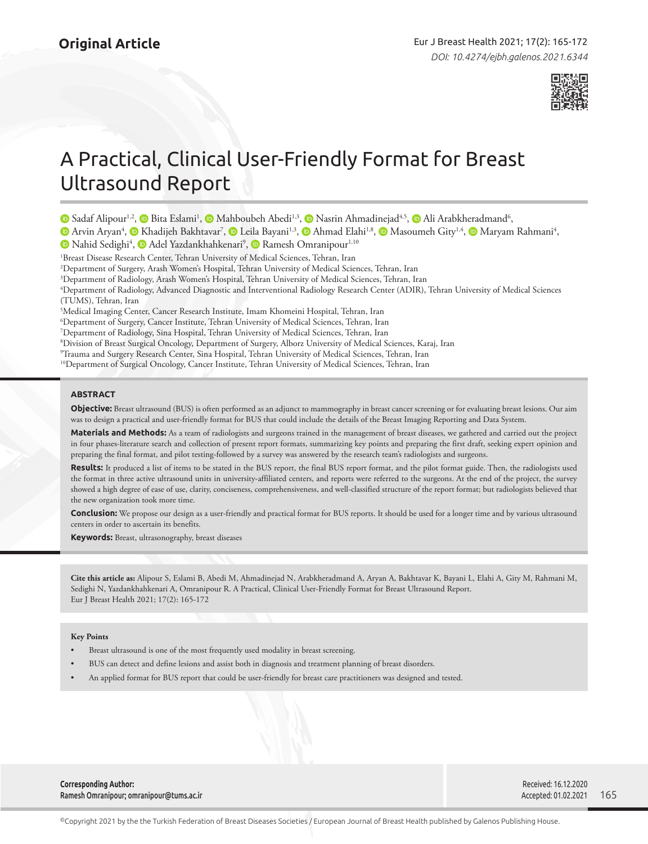

# A Practical, Clinical User-Friendly Format for Breast Ultrasound Report

- SadafAlipour<sup>1,2</sup>,  $\bullet$  Bita Eslami<sup>1</sup>,  $\bullet$  Mahboubeh Abedi<sup>1,3</sup>,  $\bullet$  Nasrin Ahmadinejad<sup>4,5</sup>,  $\bullet$  Ali Arabkheradmand<sup>6</sup>,
- Arvin Aryan<sup>4</sup>, **O** Khadijeh Bakhtavar<sup>7</sup>, **O** Leila Bayani<sup>1,3</sup>, **O** Ahmad Elahi<sup>1,8</sup>, **O** Masoumeh Gity<sup>1,4</sup>, **O** Maryam Rahmani<sup>4</sup>,

NahidSedighi<sup>4</sup>, **D** Adel Yazdankhahkenari<sup>9</sup>, **D** Ramesh Omranipour<sup>1,10</sup>

1 Breast Disease Research Center, Tehran University of Medical Sciences, Tehran, Iran

2 Department of Surgery, Arash Women's Hospital, Tehran University of Medical Sciences, Tehran, Iran

3 Department of Radiology, Arash Women's Hospital, Tehran University of Medical Sciences, Tehran, Iran

4 Department of Radiology, Advanced Diagnostic and Interventional Radiology Research Center (ADIR), Tehran University of Medical Sciences (TUMS), Tehran, Iran

5 Medical Imaging Center, Cancer Research Institute, Imam Khomeini Hospital, Tehran, Iran

6 Department of Surgery, Cancer Institute, Tehran University of Medical Sciences, Tehran, Iran

7 Department of Radiology, Sina Hospital, Tehran University of Medical Sciences, Tehran, Iran

8 Division of Breast Surgical Oncology, Department of Surgery, Alborz University of Medical Sciences, Karaj, Iran

9 Trauma and Surgery Research Center, Sina Hospital, Tehran University of Medical Sciences, Tehran, Iran

<sup>10</sup>Department of Surgical Oncology, Cancer Institute, Tehran University of Medical Sciences, Tehran, Iran

# **ABSTRACT**

**Objective:** Breast ultrasound (BUS) is often performed as an adjunct to mammography in breast cancer screening or for evaluating breast lesions. Our aim was to design a practical and user-friendly format for BUS that could include the details of the Breast Imaging Reporting and Data System.

**Materials and Methods:** As a team of radiologists and surgeons trained in the management of breast diseases, we gathered and carried out the project in four phases-literature search and collection of present report formats, summarizing key points and preparing the first draft, seeking expert opinion and preparing the final format, and pilot testing-followed by a survey was answered by the research team's radiologists and surgeons.

Results: It produced a list of items to be stated in the BUS report, the final BUS report format, and the pilot format guide. Then, the radiologists used the format in three active ultrasound units in university-affiliated centers, and reports were referred to the surgeons. At the end of the project, the survey showed a high degree of ease of use, clarity, conciseness, comprehensiveness, and well-classified structure of the report format; but radiologists believed that the new organization took more time.

**Conclusion:** We propose our design as a user-friendly and practical format for BUS reports. It should be used for a longer time and by various ultrasound centers in order to ascertain its benefits.

**Keywords:** Breast, ultrasonography, breast diseases

**Cite this article as:** Alipour S, Eslami B, Abedi M, Ahmadinejad N, Arabkheradmand A, Aryan A, Bakhtavar K, Bayani L, Elahi A, Gity M, Rahmani M, Sedighi N, Yazdankhahkenari A, Omranipour R. A Practical, Clinical User-Friendly Format for Breast Ultrasound Report. Eur J Breast Health 2021; 17(2): 165-172

### **Key Points**

- Breast ultrasound is one of the most frequently used modality in breast screening.
- BUS can detect and define lesions and assist both in diagnosis and treatment planning of breast disorders.
- An applied format for BUS report that could be user-friendly for breast care practitioners was designed and tested.

**Corresponding Author:**  Ramesh Omranipour; omranipour@tums.ac.ir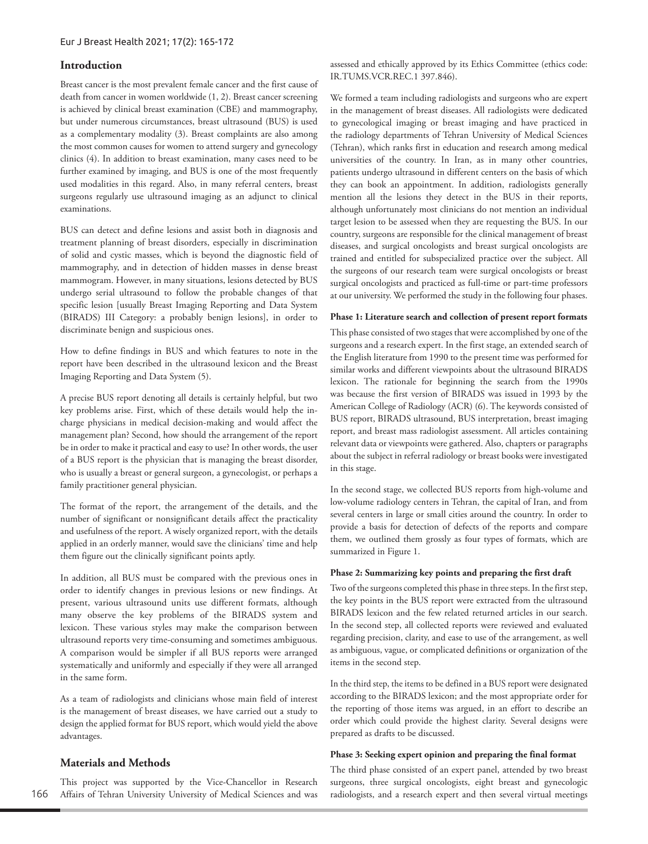# **Introduction**

Breast cancer is the most prevalent female cancer and the first cause of death from cancer in women worldwide (1, 2). Breast cancer screening is achieved by clinical breast examination (CBE) and mammography, but under numerous circumstances, breast ultrasound (BUS) is used as a complementary modality (3). Breast complaints are also among the most common causes for women to attend surgery and gynecology clinics (4). In addition to breast examination, many cases need to be further examined by imaging, and BUS is one of the most frequently used modalities in this regard. Also, in many referral centers, breast surgeons regularly use ultrasound imaging as an adjunct to clinical examinations.

BUS can detect and define lesions and assist both in diagnosis and treatment planning of breast disorders, especially in discrimination of solid and cystic masses, which is beyond the diagnostic field of mammography, and in detection of hidden masses in dense breast mammogram. However, in many situations, lesions detected by BUS undergo serial ultrasound to follow the probable changes of that specific lesion [usually Breast Imaging Reporting and Data System (BIRADS) III Category: a probably benign lesions], in order to discriminate benign and suspicious ones.

How to define findings in BUS and which features to note in the report have been described in the ultrasound lexicon and the Breast Imaging Reporting and Data System (5).

A precise BUS report denoting all details is certainly helpful, but two key problems arise. First, which of these details would help the incharge physicians in medical decision-making and would affect the management plan? Second, how should the arrangement of the report be in order to make it practical and easy to use? In other words, the user of a BUS report is the physician that is managing the breast disorder, who is usually a breast or general surgeon, a gynecologist, or perhaps a family practitioner general physician.

The format of the report, the arrangement of the details, and the number of significant or nonsignificant details affect the practicality and usefulness of the report. A wisely organized report, with the details applied in an orderly manner, would save the clinicians' time and help them figure out the clinically significant points aptly.

In addition, all BUS must be compared with the previous ones in order to identify changes in previous lesions or new findings. At present, various ultrasound units use different formats, although many observe the key problems of the BIRADS system and lexicon. These various styles may make the comparison between ultrasound reports very time-consuming and sometimes ambiguous. A comparison would be simpler if all BUS reports were arranged systematically and uniformly and especially if they were all arranged in the same form.

As a team of radiologists and clinicians whose main field of interest is the management of breast diseases, we have carried out a study to design the applied format for BUS report, which would yield the above advantages.

# **Materials and Methods**

166 This project was supported by the Vice-Chancellor in Research Affairs of Tehran University University of Medical Sciences and was assessed and ethically approved by its Ethics Committee (ethics code: IR.TUMS.VCR.REC.1 397.846).

We formed a team including radiologists and surgeons who are expert in the management of breast diseases. All radiologists were dedicated to gynecological imaging or breast imaging and have practiced in the radiology departments of Tehran University of Medical Sciences (Tehran), which ranks first in education and research among medical universities of the country. In Iran, as in many other countries, patients undergo ultrasound in different centers on the basis of which they can book an appointment. In addition, radiologists generally mention all the lesions they detect in the BUS in their reports, although unfortunately most clinicians do not mention an individual target lesion to be assessed when they are requesting the BUS. In our country, surgeons are responsible for the clinical management of breast diseases, and surgical oncologists and breast surgical oncologists are trained and entitled for subspecialized practice over the subject. All the surgeons of our research team were surgical oncologists or breast surgical oncologists and practiced as full-time or part-time professors at our university. We performed the study in the following four phases.

## **Phase 1: Literature search and collection of present report formats**

This phase consisted of two stages that were accomplished by one of the surgeons and a research expert. In the first stage, an extended search of the English literature from 1990 to the present time was performed for similar works and different viewpoints about the ultrasound BIRADS lexicon. The rationale for beginning the search from the 1990s was because the first version of BIRADS was issued in 1993 by the American College of Radiology (ACR) (6). The keywords consisted of BUS report, BIRADS ultrasound, BUS interpretation, breast imaging report, and breast mass radiologist assessment. All articles containing relevant data or viewpoints were gathered. Also, chapters or paragraphs about the subject in referral radiology or breast books were investigated in this stage.

In the second stage, we collected BUS reports from high-volume and low-volume radiology centers in Tehran, the capital of Iran, and from several centers in large or small cities around the country. In order to provide a basis for detection of defects of the reports and compare them, we outlined them grossly as four types of formats, which are summarized in Figure 1.

### **Phase 2: Summarizing key points and preparing the first draft**

Two of the surgeons completed this phase in three steps. In the first step, the key points in the BUS report were extracted from the ultrasound BIRADS lexicon and the few related returned articles in our search. In the second step, all collected reports were reviewed and evaluated regarding precision, clarity, and ease to use of the arrangement, as well as ambiguous, vague, or complicated definitions or organization of the items in the second step.

In the third step, the items to be defined in a BUS report were designated according to the BIRADS lexicon; and the most appropriate order for the reporting of those items was argued, in an effort to describe an order which could provide the highest clarity. Several designs were prepared as drafts to be discussed.

### **Phase 3: Seeking expert opinion and preparing the final format**

The third phase consisted of an expert panel, attended by two breast surgeons, three surgical oncologists, eight breast and gynecologic radiologists, and a research expert and then several virtual meetings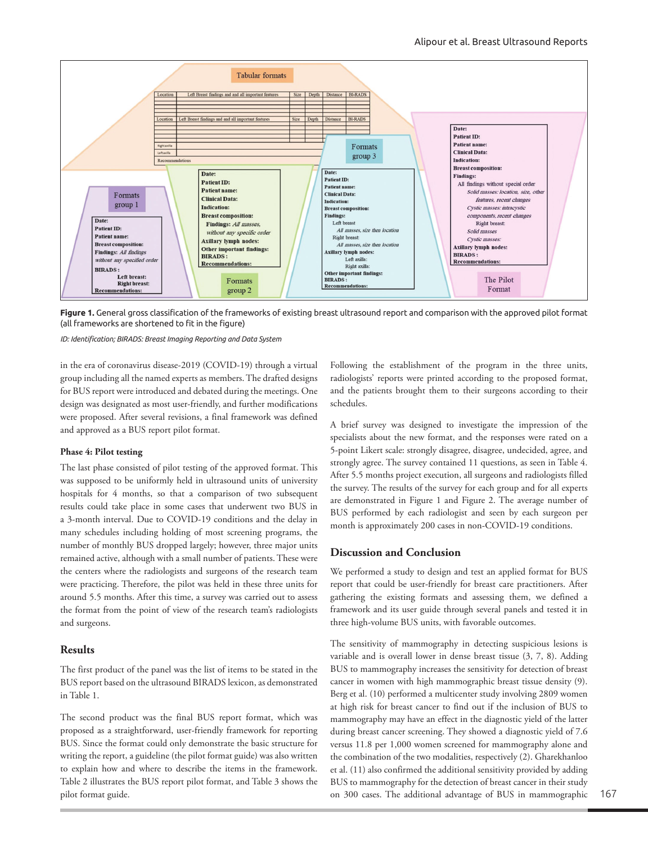

**Figure 1.** General gross classification of the frameworks of existing breast ultrasound report and comparison with the approved pilot format (all frameworks are shortened to fit in the figure)

*ID: Identification; BIRADS: Breast Imaging Reporting and Data System*

in the era of coronavirus disease-2019 (COVID-19) through a virtual group including all the named experts as members. The drafted designs for BUS report were introduced and debated during the meetings. One design was designated as most user-friendly, and further modifications were proposed. After several revisions, a final framework was defined and approved as a BUS report pilot format.

### **Phase 4: Pilot testing**

The last phase consisted of pilot testing of the approved format. This was supposed to be uniformly held in ultrasound units of university hospitals for 4 months, so that a comparison of two subsequent results could take place in some cases that underwent two BUS in a 3-month interval. Due to COVID-19 conditions and the delay in many schedules including holding of most screening programs, the number of monthly BUS dropped largely; however, three major units remained active, although with a small number of patients. These were the centers where the radiologists and surgeons of the research team were practicing. Therefore, the pilot was held in these three units for around 5.5 months. After this time, a survey was carried out to assess the format from the point of view of the research team's radiologists and surgeons.

### **Results**

The first product of the panel was the list of items to be stated in the BUS report based on the ultrasound BIRADS lexicon, as demonstrated in Table 1.

The second product was the final BUS report format, which was proposed as a straightforward, user-friendly framework for reporting BUS. Since the format could only demonstrate the basic structure for writing the report, a guideline (the pilot format guide) was also written to explain how and where to describe the items in the framework. Table 2 illustrates the BUS report pilot format, and Table 3 shows the pilot format guide.

Following the establishment of the program in the three units, radiologists' reports were printed according to the proposed format, and the patients brought them to their surgeons according to their schedules.

A brief survey was designed to investigate the impression of the specialists about the new format, and the responses were rated on a 5-point Likert scale: strongly disagree, disagree, undecided, agree, and strongly agree. The survey contained 11 questions, as seen in Table 4. After 5.5 months project execution, all surgeons and radiologists filled the survey. The results of the survey for each group and for all experts are demonstrated in Figure 1 and Figure 2. The average number of BUS performed by each radiologist and seen by each surgeon per month is approximately 200 cases in non-COVID-19 conditions.

# **Discussion and Conclusion**

We performed a study to design and test an applied format for BUS report that could be user-friendly for breast care practitioners. After gathering the existing formats and assessing them, we defined a framework and its user guide through several panels and tested it in three high-volume BUS units, with favorable outcomes.

The sensitivity of mammography in detecting suspicious lesions is variable and is overall lower in dense breast tissue (3, 7, 8). Adding BUS to mammography increases the sensitivity for detection of breast cancer in women with high mammographic breast tissue density (9). Berg et al. (10) performed a multicenter study involving 2809 women at high risk for breast cancer to find out if the inclusion of BUS to mammography may have an effect in the diagnostic yield of the latter during breast cancer screening. They showed a diagnostic yield of 7.6 versus 11.8 per 1,000 women screened for mammography alone and the combination of the two modalities, respectively (2). Gharekhanloo et al. (11) also confirmed the additional sensitivity provided by adding BUS to mammography for the detection of breast cancer in their study on 300 cases. The additional advantage of BUS in mammographic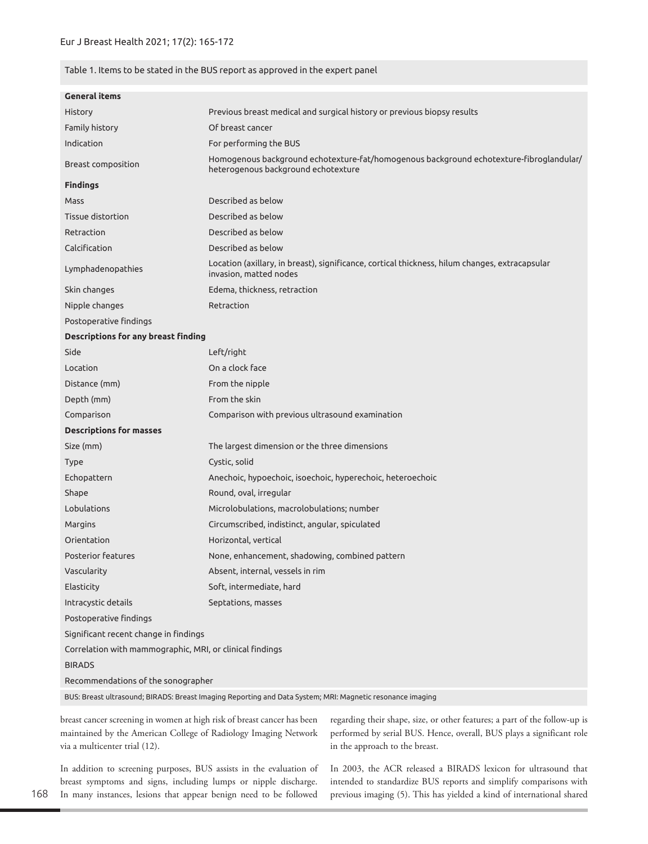# Table 1. Items to be stated in the BUS report as approved in the expert panel

| <b>General items</b>                                                                                      |                                                                                                                                |  |
|-----------------------------------------------------------------------------------------------------------|--------------------------------------------------------------------------------------------------------------------------------|--|
| <b>History</b>                                                                                            | Previous breast medical and surgical history or previous biopsy results                                                        |  |
| Family history                                                                                            | Of breast cancer                                                                                                               |  |
| Indication                                                                                                | For performing the BUS                                                                                                         |  |
| Breast composition                                                                                        | Homogenous background echotexture-fat/homogenous background echotexture-fibroglandular/<br>heterogenous background echotexture |  |
| <b>Findings</b>                                                                                           |                                                                                                                                |  |
| Mass                                                                                                      | Described as below                                                                                                             |  |
| Tissue distortion                                                                                         | Described as below                                                                                                             |  |
| Retraction                                                                                                | Described as below                                                                                                             |  |
| Calcification                                                                                             | Described as below                                                                                                             |  |
| Lymphadenopathies                                                                                         | Location (axillary, in breast), significance, cortical thickness, hilum changes, extracapsular<br>invasion, matted nodes       |  |
| Skin changes                                                                                              | Edema, thickness, retraction                                                                                                   |  |
| Nipple changes                                                                                            | Retraction                                                                                                                     |  |
| Postoperative findings                                                                                    |                                                                                                                                |  |
| <b>Descriptions for any breast finding</b>                                                                |                                                                                                                                |  |
| Side                                                                                                      | Left/right                                                                                                                     |  |
| Location                                                                                                  | On a clock face                                                                                                                |  |
| Distance (mm)                                                                                             | From the nipple                                                                                                                |  |
| Depth (mm)                                                                                                | From the skin                                                                                                                  |  |
| Comparison                                                                                                | Comparison with previous ultrasound examination                                                                                |  |
| <b>Descriptions for masses</b>                                                                            |                                                                                                                                |  |
| Size (mm)                                                                                                 | The largest dimension or the three dimensions                                                                                  |  |
| <b>Type</b>                                                                                               | Cystic, solid                                                                                                                  |  |
| Echopattern                                                                                               | Anechoic, hypoechoic, isoechoic, hyperechoic, heteroechoic                                                                     |  |
| Shape                                                                                                     | Round, oval, irregular                                                                                                         |  |
| Lobulations                                                                                               | Microlobulations, macrolobulations; number                                                                                     |  |
| Margins                                                                                                   | Circumscribed, indistinct, angular, spiculated                                                                                 |  |
| Orientation                                                                                               | Horizontal, vertical                                                                                                           |  |
| <b>Posterior features</b>                                                                                 | None, enhancement, shadowing, combined pattern                                                                                 |  |
| Vascularity                                                                                               | Absent, internal, vessels in rim                                                                                               |  |
| Elasticity                                                                                                | Soft, intermediate, hard                                                                                                       |  |
| Intracystic details                                                                                       | Septations, masses                                                                                                             |  |
| Postoperative findings                                                                                    |                                                                                                                                |  |
| Significant recent change in findings                                                                     |                                                                                                                                |  |
| Correlation with mammographic, MRI, or clinical findings                                                  |                                                                                                                                |  |
| <b>BIRADS</b>                                                                                             |                                                                                                                                |  |
| Recommendations of the sonographer                                                                        |                                                                                                                                |  |
| BUS: Breast ultrasound; BIRADS: Breast Imaging Reporting and Data System; MRI: Magnetic resonance imaging |                                                                                                                                |  |

breast cancer screening in women at high risk of breast cancer has been maintained by the American College of Radiology Imaging Network via a multicenter trial (12).

In addition to screening purposes, BUS assists in the evaluation of breast symptoms and signs, including lumps or nipple discharge. In many instances, lesions that appear benign need to be followed

regarding their shape, size, or other features; a part of the follow-up is performed by serial BUS. Hence, overall, BUS plays a significant role in the approach to the breast.

In 2003, the ACR released a BIRADS lexicon for ultrasound that intended to standardize BUS reports and simplify comparisons with previous imaging (5). This has yielded a kind of international shared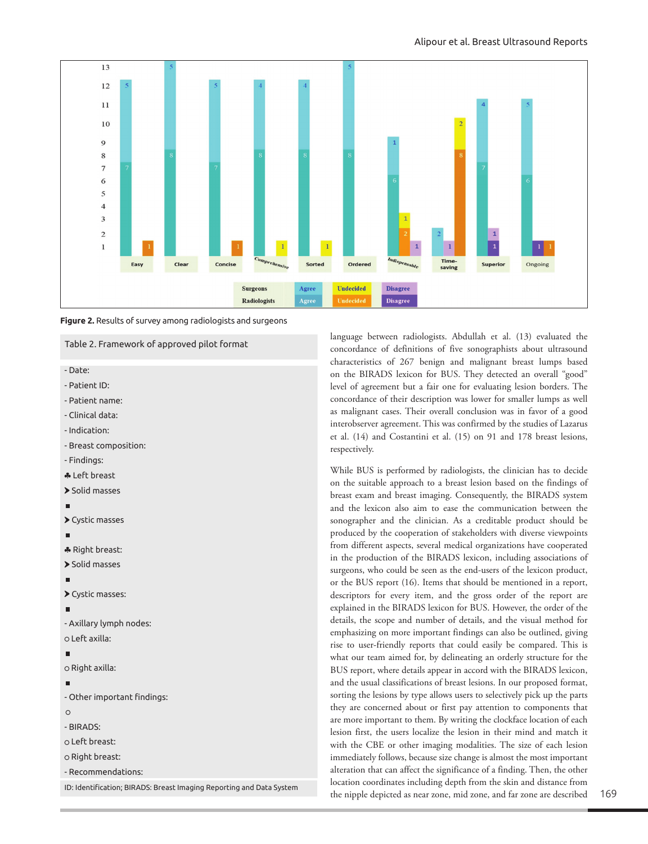



# Table 2. Framework of approved pilot format

- Date:

- Patient ID:
- Patient name:
- Clinical data:
- Indication:
- Breast composition:
- Findings:
- ♣ Left breast
- > Solid masses

### ×

Cystic masses

- ♣ Right breast:
- > Solid masses

Cystic masses:

- Axillary lymph nodes:

# Left axilla:

## m.

o Right axilla:

- Other important findings:

### $\circ$

- BIRADS:
- Left breast:
- o Right breast:
- Recommendations:

language between radiologists. Abdullah et al. (13) evaluated the concordance of definitions of five sonographists about ultrasound characteristics of 267 benign and malignant breast lumps based on the BIRADS lexicon for BUS. They detected an overall "good" level of agreement but a fair one for evaluating lesion borders. The concordance of their description was lower for smaller lumps as well as malignant cases. Their overall conclusion was in favor of a good interobserver agreement. This was confirmed by the studies of Lazarus et al. (14) and Costantini et al. (15) on 91 and 178 breast lesions, respectively.

While BUS is performed by radiologists, the clinician has to decide on the suitable approach to a breast lesion based on the findings of breast exam and breast imaging. Consequently, the BIRADS system and the lexicon also aim to ease the communication between the sonographer and the clinician. As a creditable product should be produced by the cooperation of stakeholders with diverse viewpoints from different aspects, several medical organizations have cooperated in the production of the BIRADS lexicon, including associations of surgeons, who could be seen as the end-users of the lexicon product, or the BUS report (16). Items that should be mentioned in a report, descriptors for every item, and the gross order of the report are explained in the BIRADS lexicon for BUS. However, the order of the details, the scope and number of details, and the visual method for emphasizing on more important findings can also be outlined, giving rise to user-friendly reports that could easily be compared. This is what our team aimed for, by delineating an orderly structure for the BUS report, where details appear in accord with the BIRADS lexicon, and the usual classifications of breast lesions. In our proposed format, sorting the lesions by type allows users to selectively pick up the parts they are concerned about or first pay attention to components that are more important to them. By writing the clockface location of each lesion first, the users localize the lesion in their mind and match it with the CBE or other imaging modalities. The size of each lesion immediately follows, because size change is almost the most important alteration that can affect the significance of a finding. Then, the other location coordinates including depth from the skin and distance from the nipple depicted as near zone, mid zone, and far zone are described

ID: Identification; BIRADS: Breast Imaging Reporting and Data System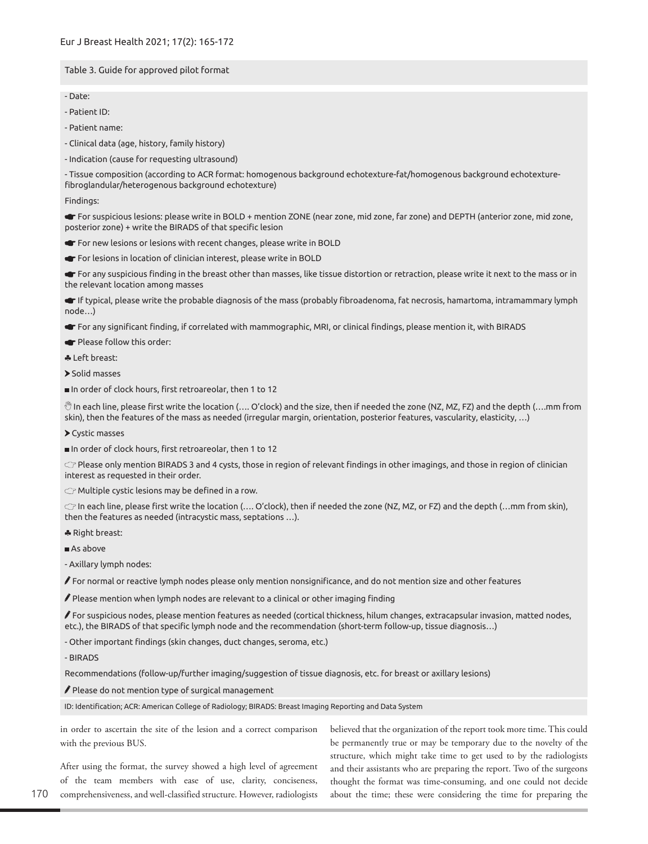# Table 3. Guide for approved pilot format

- Date:
- Patient ID:
- Patient name:
- Clinical data (age, history, family history)
- Indication (cause for requesting ultrasound)

- Tissue composition (according to ACR format: homogenous background echotexture-fat/homogenous background echotexturefibroglandular/heterogenous background echotexture)

### Findings:

For suspicious lesions: please write in BOLD + mention ZONE (near zone, mid zone, far zone) and DEPTH (anterior zone, mid zone, posterior zone) + write the BIRADS of that specific lesion

- For new lesions or lesions with recent changes, please write in BOLD
- For lesions in location of clinician interest, please write in BOLD

For any suspicious finding in the breast other than masses, like tissue distortion or retraction, please write it next to the mass or in the relevant location among masses

If typical, please write the probable diagnosis of the mass (probably fibroadenoma, fat necrosis, hamartoma, intramammary lymph node…)

For any significant finding, if correlated with mammographic, MRI, or clinical findings, please mention it, with BIRADS

- Please follow this order:
- ♣ Left breast:
- > Solid masses
- In order of clock hours, first retroareolar, then 1 to 12

 $\overset{\text{\tiny{(1)}}}{\sim}$  In each line, please first write the location (…. O'clock) and the size, then if needed the zone (NZ, MZ, FZ) and the depth (….mm from skin), then the features of the mass as needed (irregular margin, orientation, posterior features, vascularity, elasticity, …)

- Cystic masses
- In order of clock hours, first retroareolar, then 1 to 12

 $\subset$  Please only mention BIRADS 3 and 4 cysts, those in region of relevant findings in other imagings, and those in region of clinician interest as requested in their order.

 $C\mathcal{F}$  Multiple cystic lesions may be defined in a row.

 $\subset$  In each line, please first write the location (…. O'clock), then if needed the zone (NZ, MZ, or FZ) and the depth (…mm from skin), then the features as needed (intracystic mass, septations …).

- ♣ Right breast:
- As above

- Axillary lymph nodes:

 $\ell$  For normal or reactive lymph nodes please only mention nonsignificance, and do not mention size and other features

 $\blacktriangleright$  Please mention when lymph nodes are relevant to a clinical or other imaging finding

 $\ell$  For suspicious nodes, please mention features as needed (cortical thickness, hilum changes, extracapsular invasion, matted nodes, etc.), the BIRADS of that specific lymph node and the recommendation (short-term follow-up, tissue diagnosis…)

- Other important findings (skin changes, duct changes, seroma, etc.)

- BIRADS

Recommendations (follow-up/further imaging/suggestion of tissue diagnosis, etc. for breast or axillary lesions)

 $\mathscr I$  Please do not mention type of surgical management

ID: Identification; ACR: American College of Radiology; BIRADS: Breast Imaging Reporting and Data System

in order to ascertain the site of the lesion and a correct comparison with the previous BUS.

After using the format, the survey showed a high level of agreement of the team members with ease of use, clarity, conciseness, comprehensiveness, and well-classified structure. However, radiologists believed that the organization of the report took more time. This could be permanently true or may be temporary due to the novelty of the structure, which might take time to get used to by the radiologists and their assistants who are preparing the report. Two of the surgeons thought the format was time-consuming, and one could not decide about the time; these were considering the time for preparing the

170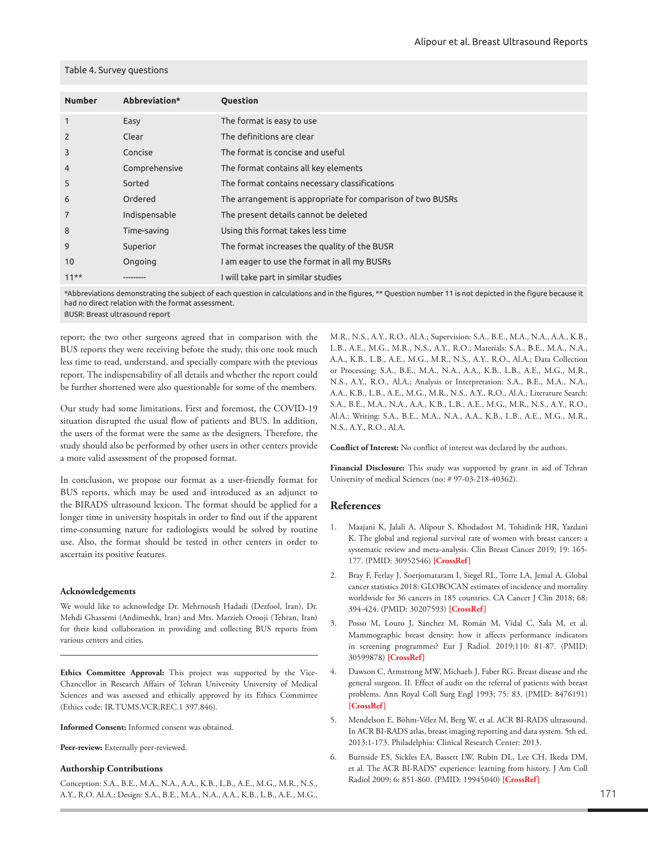### Table 4. Survey questions

| <b>Number</b>  | Abbreviation* | <b>Ouestion</b>                                            |
|----------------|---------------|------------------------------------------------------------|
| $\mathbf{1}$   | Easy          | The format is easy to use                                  |
| $\overline{2}$ | Clear         | The definitions are clear                                  |
| 3              | Concise       | The format is concise and useful                           |
| 4              | Comprehensive | The format contains all key elements                       |
| 5              | Sorted        | The format contains necessary classifications              |
| 6              | Ordered       | The arrangement is appropriate for comparison of two BUSRs |
| $\overline{7}$ | Indispensable | The present details cannot be deleted                      |
| 8              | Time-saving   | Using this format takes less time                          |
| 9              | Superior      | The format increases the quality of the BUSR               |
| 10             | Ongoing       | I am eager to use the format in all my BUSRs               |
| $11**$         |               | I will take part in similar studies                        |

\*Abbreviations demonstrating the subject of each question in calculations and in the figures, \*\* Question number 11 is not depicted in the figure because it had no direct relation with the format assessment.

BUSR: Breast ultrasound report

report; the two other surgeons agreed that in comparison with the BUS reports they were receiving before the study, this one took much less time to read, understand, and specially compare with the previous report. The indispensability of all details and whether the report could be further shortened were also questionable for some of the members.

Our study had some limitations. First and foremost, the COVID-19 situation disrupted the usual flow of patients and BUS. In addition, the users of the format were the same as the designers. Therefore, the study should also be performed by other users in other centers provide a more valid assessment of the proposed format.

In conclusion, we propose our format as a user-friendly format for BUS reports, which may be used and introduced as an adjunct to the BIRADS ultrasound lexicon. The format should be applied for a longer time in university hospitals in order to find out if the apparent time-consuming nature for radiologists would be solved by routine use. Also, the format should be tested in other centers in order to ascertain its positive features.

### **Acknowledgements**

We would like to acknowledge Dr. Mehrnoush Hadadi (Dezfool, Iran), Dr. Mehdi Ghassemi (Andimeshk, Iran) and Mrs. Marzieh Orooji (Tehran, Iran) for their kind collaboration in providing and collecting BUS reports from various centers and cities.

**Ethics Committee Approval:** This project was supported by the Vice-Chancellor in Research Affairs of Tehran University University of Medical Sciences and was assessed and ethically approved by its Ethics Committee (Ethics code: IR.TUMS.VCR.REC.1 397.846).

**Informed Consent:** Informed consent was obtained.

**Peer-review:** Externally peer-reviewed.

### **Authorship Contributions**

Conception: S.A., B.E., M.A., N.A., A.A., K.B., L.B., A.E., M.G., M.R., N.S., A.Y., R.O. Al.A.; Design: S.A., B.E., M.A., N.A., A.A., K.B., L.B., A.E., M.G., M.R., N.S., A.Y., R.O., Al.A.; Supervision: S.A., B.E., M.A., N.A., A.A., K.B., L.B., A.E., M.G., M.R., N.S., A.Y., R.O.; Materials: S.A., B.E., M.A., N.A., A.A., K.B., L.B., A.E., M.G., M.R., N.S., A.Y., R.O., Al.A.; Data Collection or Processing: S.A., B.E., M.A., N.A., A.A., K.B., L.B., A.E., M.G., M.R., N.S., A.Y., R.O., Al.A.; Analysis or Interpretation: S.A., B.E., M.A., N.A., A.A., K.B., L.B., A.E., M.G., M.R., N.S., A.Y., R.O., Al.A.; Literature Search: S.A., B.E., M.A., N.A., A.A., K.B., L.B., A.E., M.G., M.R., N.S., A.Y., R.O., Al.A.; Writing: S.A., B.E., M.A., N.A., A.A., K.B., L.B., A.E., M.G., M.R., N.S., A.Y., R.O., Al.A.

**Conflict of Interest:** No conflict of interest was declared by the authors.

**Financial Disclosure:** This study was supported by grant in aid of Tehran University of medical Sciences (no: # 97-03-218-40362).

# **References**

- 1. Maajani K, Jalali A, Alipour S, Khodadost M, Tohidinik HR, Yazdani K. The global and regional survival rate of women with breast cancer: a systematic review and meta-analysis. Clin Breast Cancer 2019; 19: 165- 177. (PMID: 30952546) **[[CrossRef\]](https://doi.org/10.1016/j.clbc.2019.01.006)**
- 2. Bray F, Ferlay J, Soerjomataram I, Siegel RL, Torre LA, Jemal A. Global cancer statistics 2018: GLOBOCAN estimates of incidence and mortality worldwide for 36 cancers in 185 countries. CA Cancer J Clin 2018; 68: 394-424. (PMID: 30207593) **[\[CrossRef\]](https://doi.org/10.3322/caac.21492)**
- 3. Posso M, Louro J, Sánchez M, Román M, Vidal C, Sala M, et al. Mammographic breast density: how it affects performance indicators in screening programmes? Eur J Radiol. 2019;110: 81-87. (PMID: 30599878) **[\[CrossRef\]](https://doi.org/10.1016/j.ejrad.2018.11.012)**
- 4. Dawson C, Armstrong MW, Michaels J, Faber RG. Breast disease and the general surgeon. II. Effect of audit on the referral of patients with breast problems. Ann Royal Coll Surg Engl 1993; 75: 83. (PMID: 8476191) **[[CrossRef\]](https://pubmed.ncbi.nlm.nih.gov/8476191/)**
- 5. Mendelson E, Böhm-Vélez M, Berg W, et al. ACR BI-RADS ultrasound. In ACR BI-RADS atlas, breast imaging reporting and data system. 5th ed. 2013:1-173. Philadelphia: Clinical Research Center: 2013.
- 6. Burnside ES, Sickles EA, Bassett LW, Rubin DL, Lee CH, Ikeda DM, et al. The ACR BI-RADS® experience: learning from history. J Am Coll Radiol 2009; 6: 851-860. (PMID: 19945040) **[\[CrossRef\]](https://doi.org/10.1016/j.jacr.2009.07.023)**